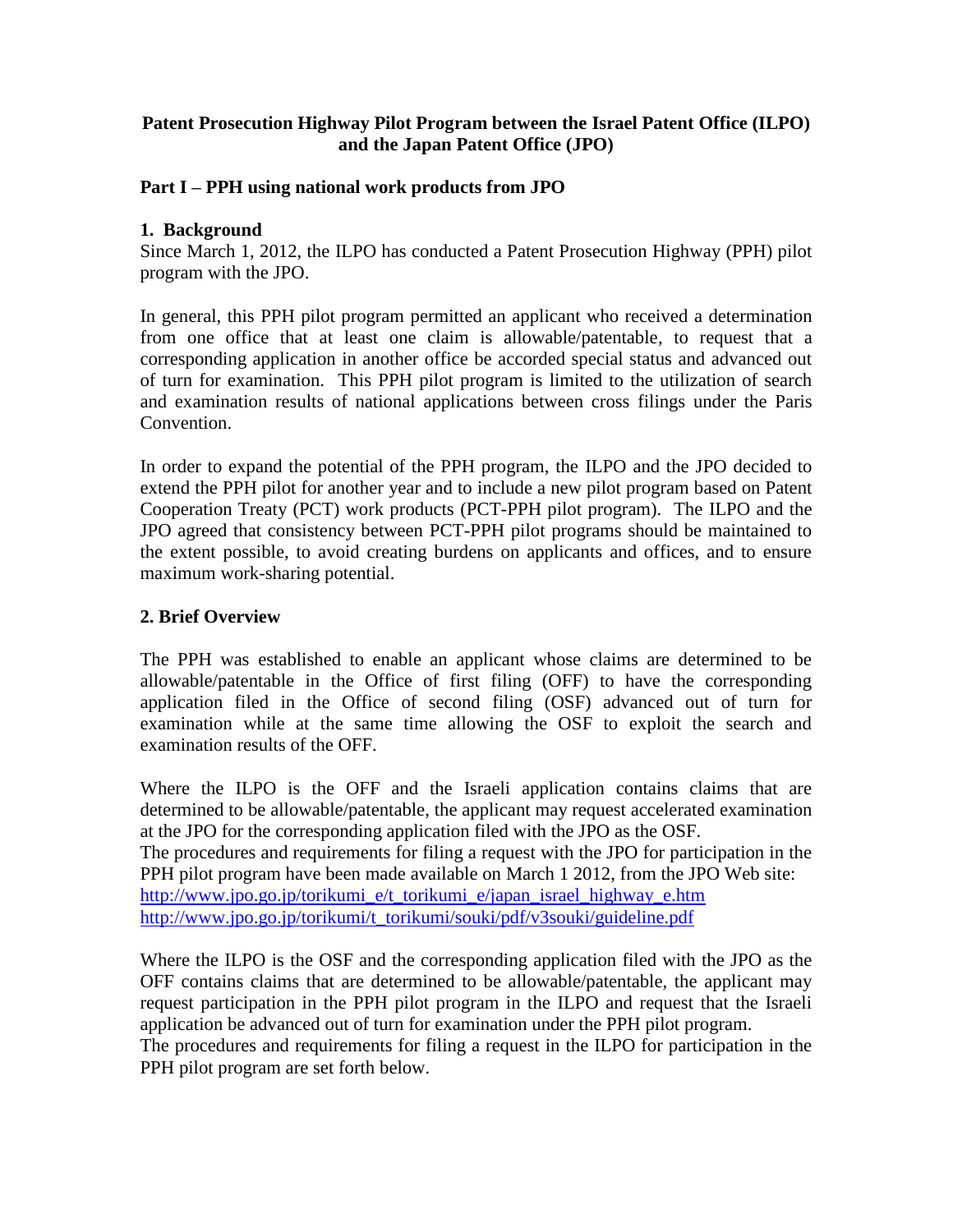## **Patent Prosecution Highway Pilot Program between the Israel Patent Office (ILPO) and the Japan Patent Office (JPO)**

#### **Part I – PPH using national work products from JPO**

#### **1. Background**

Since March 1, 2012, the ILPO has conducted a Patent Prosecution Highway (PPH) pilot program with the JPO.

In general, this PPH pilot program permitted an applicant who received a determination from one office that at least one claim is allowable/patentable, to request that a corresponding application in another office be accorded special status and advanced out of turn for examination. This PPH pilot program is limited to the utilization of search and examination results of national applications between cross filings under the Paris Convention.

In order to expand the potential of the PPH program, the ILPO and the JPO decided to extend the PPH pilot for another year and to include a new pilot program based on Patent Cooperation Treaty (PCT) work products (PCT-PPH pilot program). The ILPO and the JPO agreed that consistency between PCT-PPH pilot programs should be maintained to the extent possible, to avoid creating burdens on applicants and offices, and to ensure maximum work-sharing potential.

## **2. Brief Overview**

The PPH was established to enable an applicant whose claims are determined to be allowable/patentable in the Office of first filing (OFF) to have the corresponding application filed in the Office of second filing (OSF) advanced out of turn for examination while at the same time allowing the OSF to exploit the search and examination results of the OFF.

Where the ILPO is the OFF and the Israeli application contains claims that are determined to be allowable/patentable, the applicant may request accelerated examination at the JPO for the corresponding application filed with the JPO as the OSF. The procedures and requirements for filing a request with the JPO for participation in the PPH pilot program have been made available on March 1 2012, from the JPO Web site: http://www.jpo.go.jp/torikumi\_e/t\_torikumi\_e/japan\_israel\_highway\_e.htm [http://www.jpo.go.jp/torikumi/t\\_torikumi/souki/pdf/v3souki/guideline.pdf](http://www.jpo.go.jp/torikumi/t_torikumi/souki/pdf/v3souki/guideline.pdf)

Where the ILPO is the OSF and the corresponding application filed with the JPO as the OFF contains claims that are determined to be allowable/patentable, the applicant may request participation in the PPH pilot program in the ILPO and request that the Israeli application be advanced out of turn for examination under the PPH pilot program. The procedures and requirements for filing a request in the ILPO for participation in the PPH pilot program are set forth below.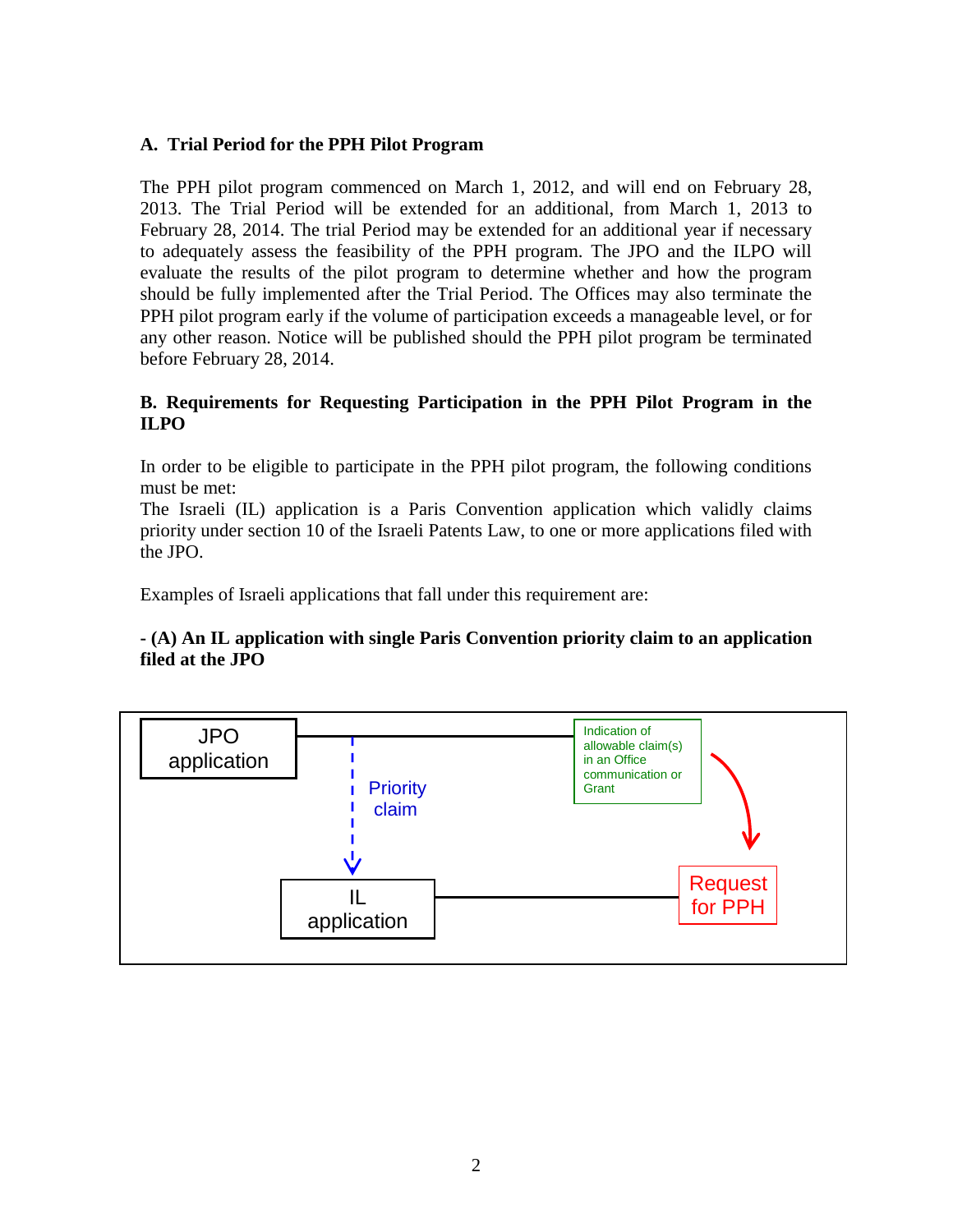# **A. Trial Period for the PPH Pilot Program**

The PPH pilot program commenced on March 1, 2012, and will end on February 28, 2013. The Trial Period will be extended for an additional, from March 1, 2013 to February 28, 2014. The trial Period may be extended for an additional year if necessary to adequately assess the feasibility of the PPH program. The JPO and the ILPO will evaluate the results of the pilot program to determine whether and how the program should be fully implemented after the Trial Period. The Offices may also terminate the PPH pilot program early if the volume of participation exceeds a manageable level, or for any other reason. Notice will be published should the PPH pilot program be terminated before February 28, 2014.

# **B. Requirements for Requesting Participation in the PPH Pilot Program in the ILPO**

In order to be eligible to participate in the PPH pilot program, the following conditions must be met:

The Israeli (IL) application is a Paris Convention application which validly claims priority under section 10 of the Israeli Patents Law, to one or more applications filed with the JPO.

Examples of Israeli applications that fall under this requirement are:

# **- (A) An IL application with single Paris Convention priority claim to an application filed at the JPO**

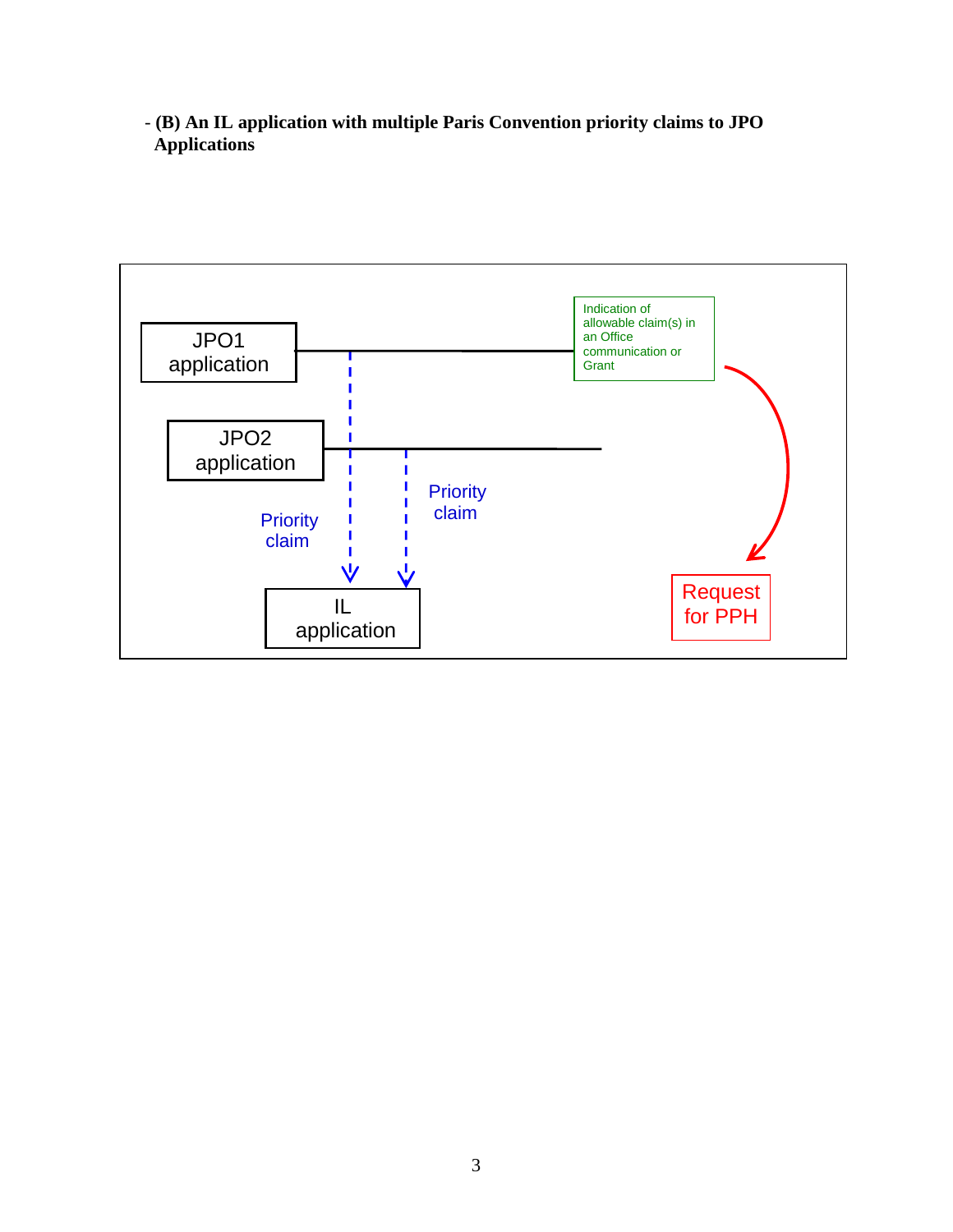- **(B) An IL application with multiple Paris Convention priority claims to JPO Applications**

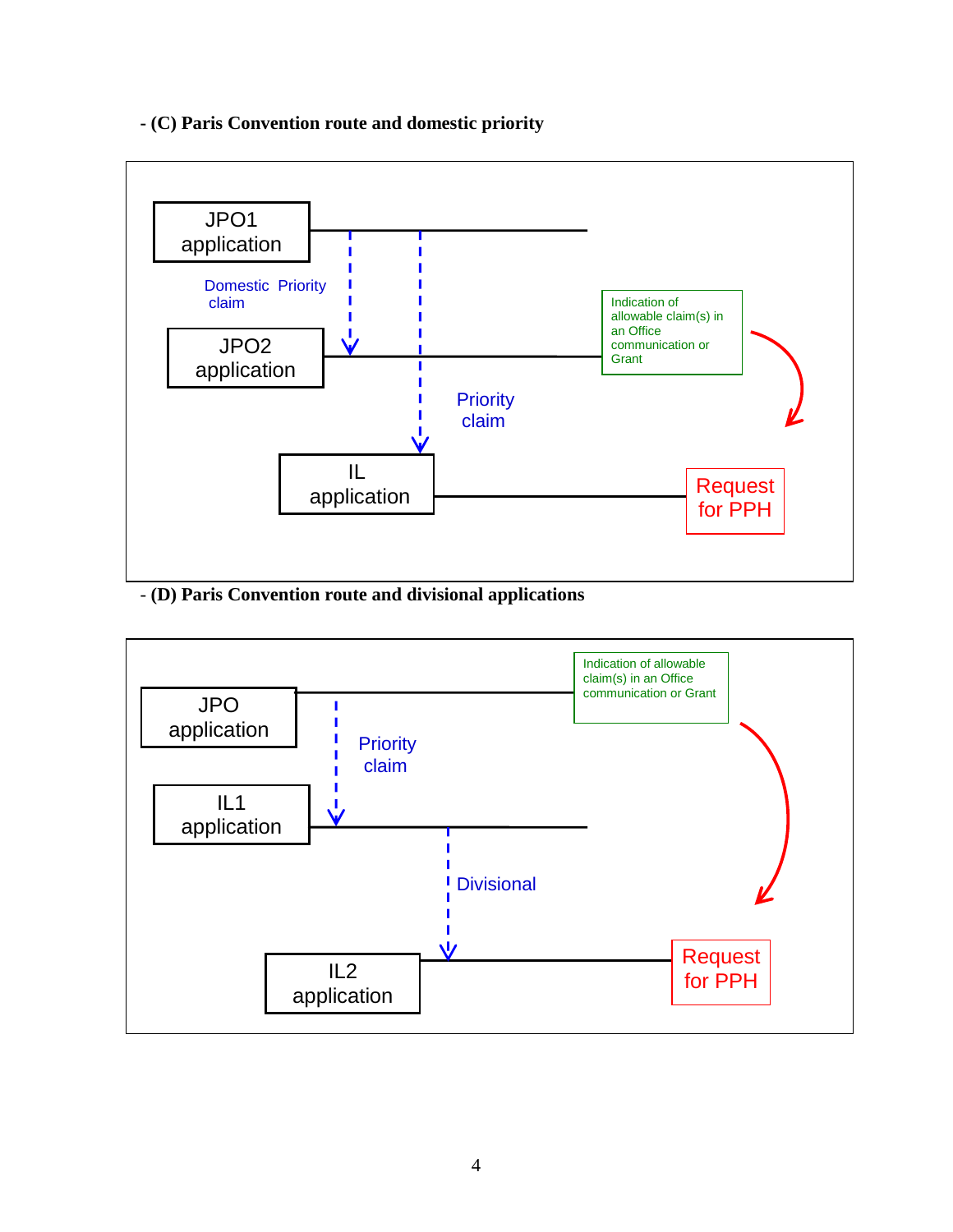# **- (C) Paris Convention route and domestic priority**



- **(D) Paris Convention route and divisional applications**

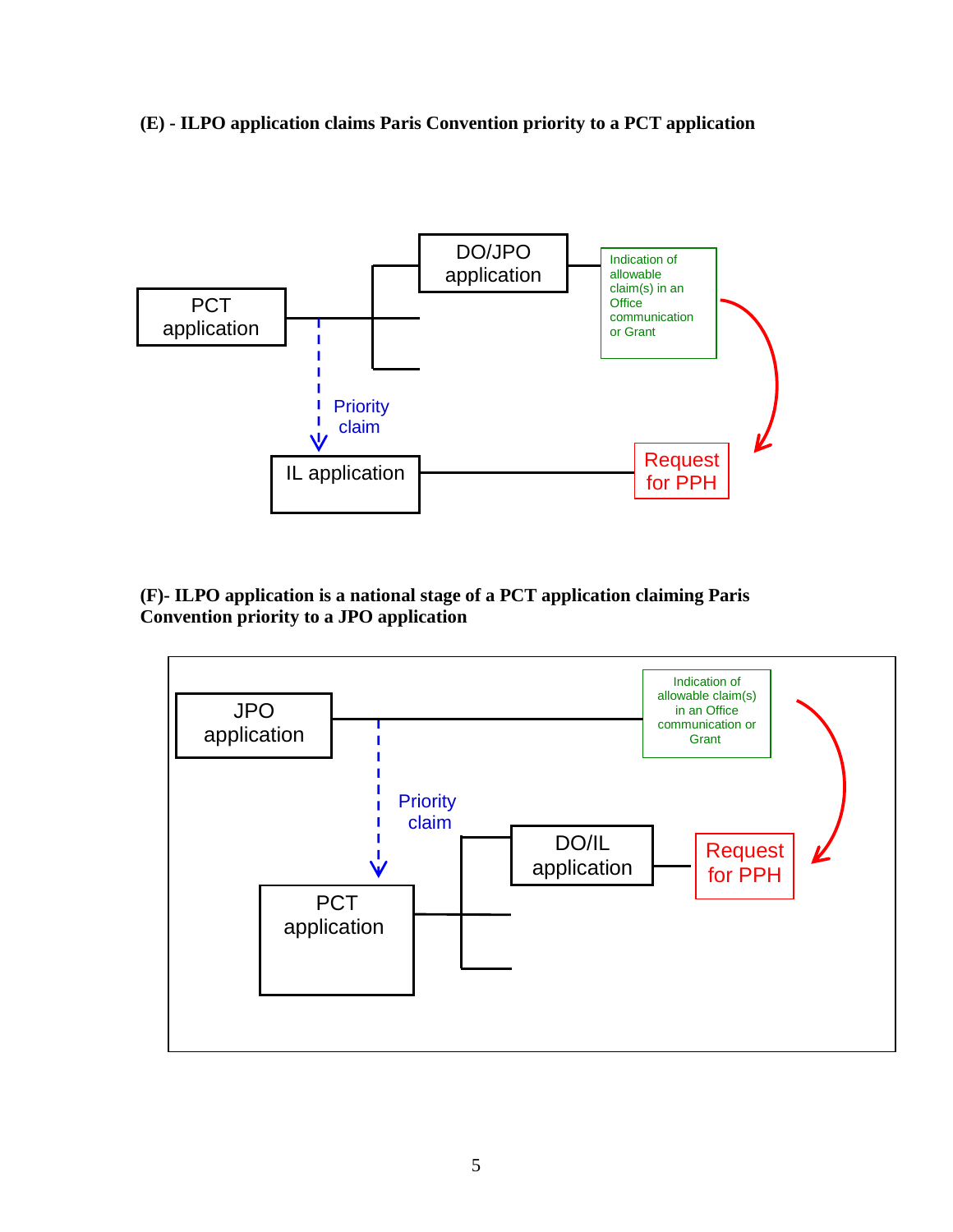**(E) - ILPO application claims Paris Convention priority to a PCT application**



**(F)- ILPO application is a national stage of a PCT application claiming Paris Convention priority to a JPO application**

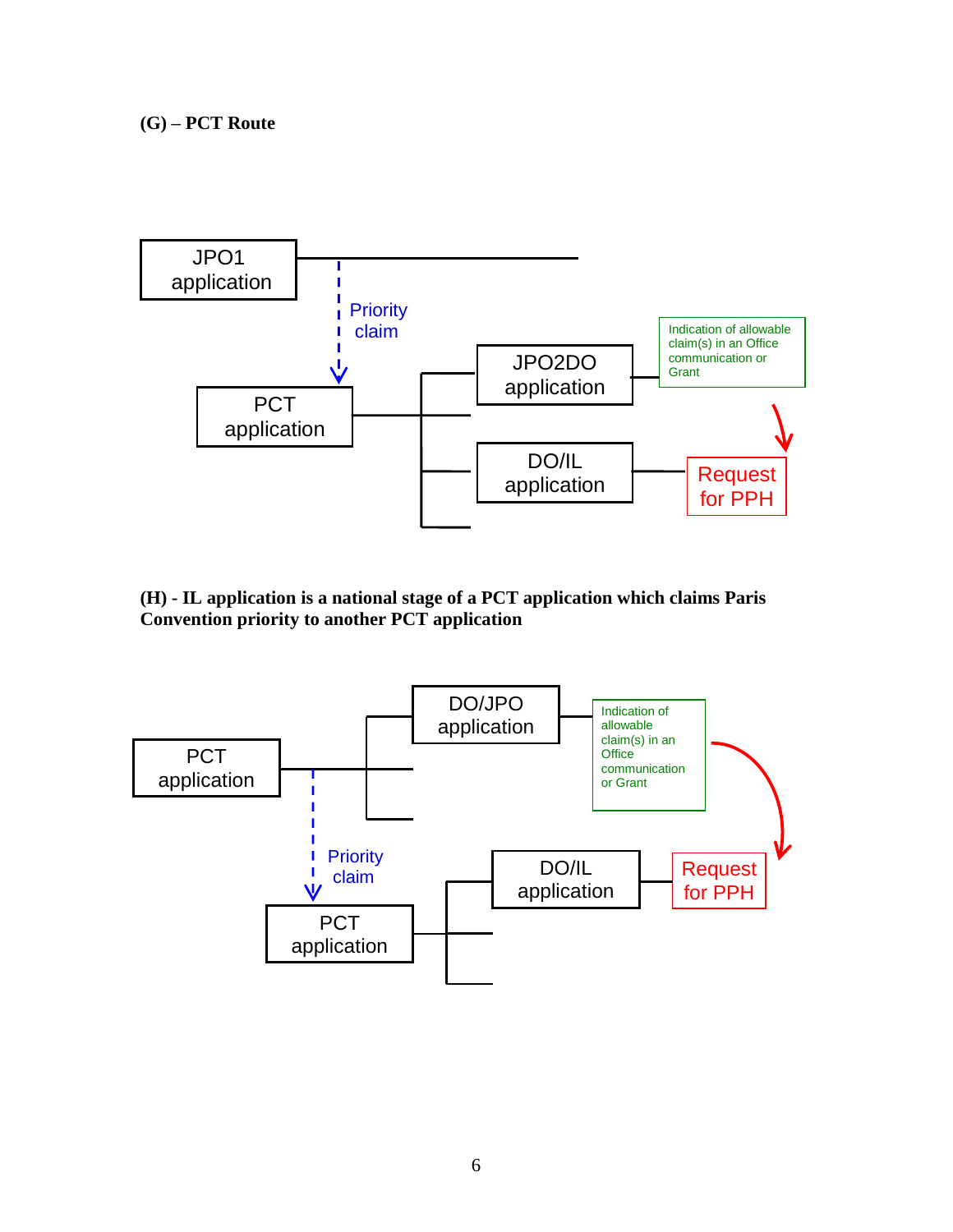

**(H) - IL application is a national stage of a PCT application which claims Paris Convention priority to another PCT application**

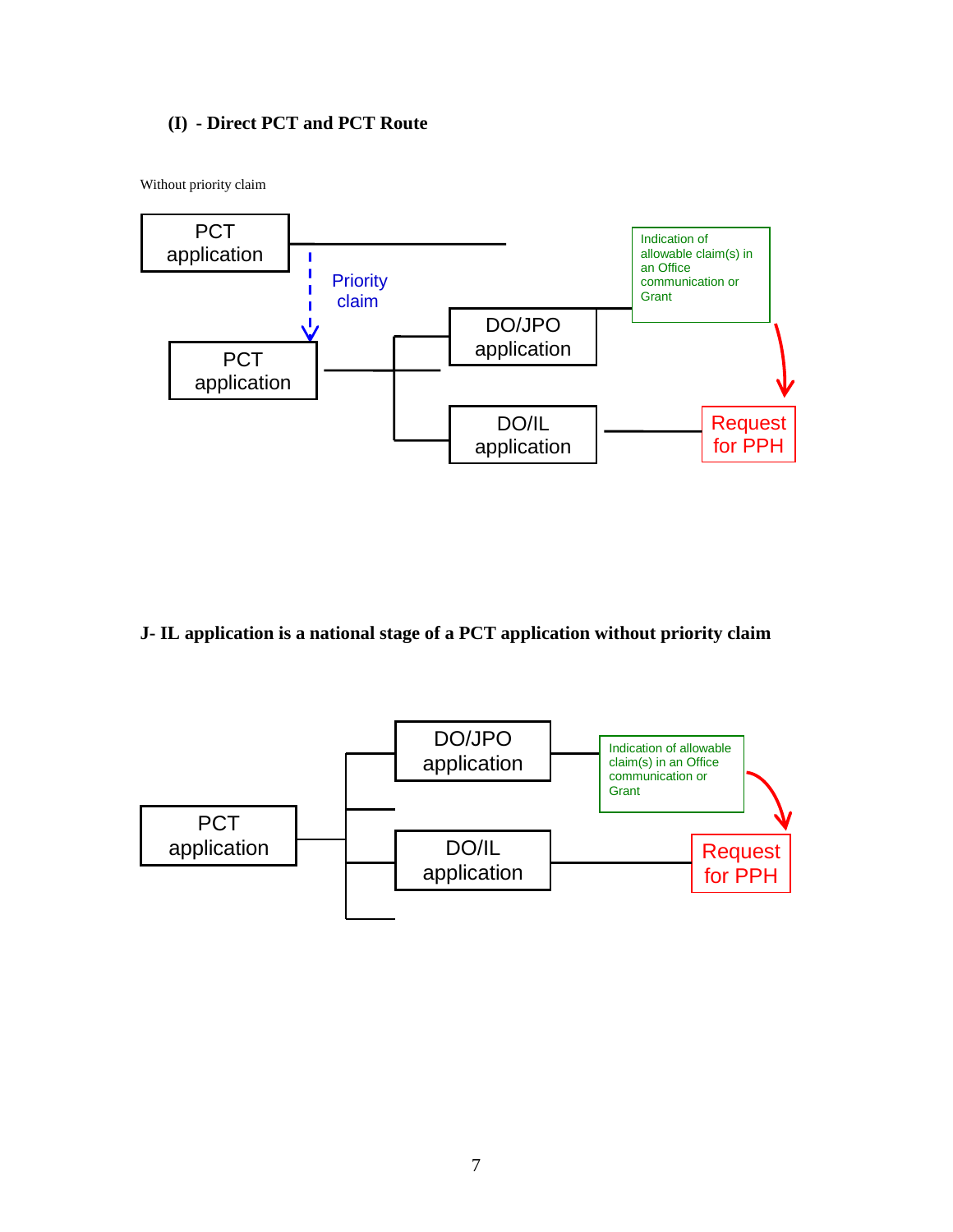# **(I) - Direct PCT and PCT Route**

Without priority claim



# **J- IL application is a national stage of a PCT application without priority claim**

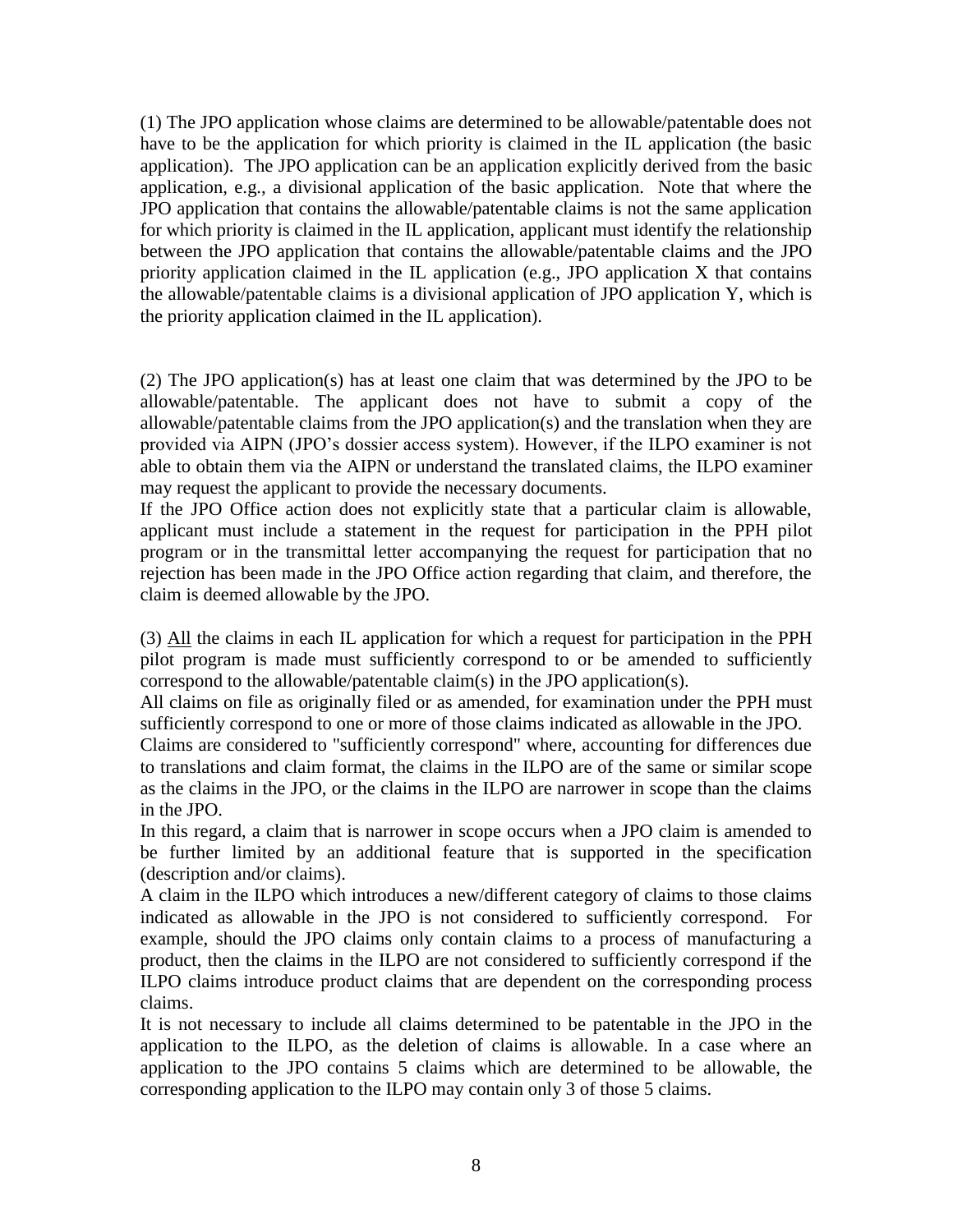(1) The JPO application whose claims are determined to be allowable/patentable does not have to be the application for which priority is claimed in the IL application (the basic application). The JPO application can be an application explicitly derived from the basic application, e.g., a divisional application of the basic application. Note that where the JPO application that contains the allowable/patentable claims is not the same application for which priority is claimed in the IL application, applicant must identify the relationship between the JPO application that contains the allowable/patentable claims and the JPO priority application claimed in the IL application (e.g., JPO application X that contains the allowable/patentable claims is a divisional application of JPO application Y, which is the priority application claimed in the IL application).

(2) The JPO application(s) has at least one claim that was determined by the JPO to be allowable/patentable. The applicant does not have to submit a copy of the allowable/patentable claims from the JPO application(s) and the translation when they are provided via AIPN (JPO's dossier access system). However, if the ILPO examiner is not able to obtain them via the AIPN or understand the translated claims, the ILPO examiner may request the applicant to provide the necessary documents.

If the JPO Office action does not explicitly state that a particular claim is allowable, applicant must include a statement in the request for participation in the PPH pilot program or in the transmittal letter accompanying the request for participation that no rejection has been made in the JPO Office action regarding that claim, and therefore, the claim is deemed allowable by the JPO.

(3) All the claims in each IL application for which a request for participation in the PPH pilot program is made must sufficiently correspond to or be amended to sufficiently correspond to the allowable/patentable claim(s) in the JPO application(s).

All claims on file as originally filed or as amended, for examination under the PPH must sufficiently correspond to one or more of those claims indicated as allowable in the JPO.

Claims are considered to "sufficiently correspond" where, accounting for differences due to translations and claim format, the claims in the ILPO are of the same or similar scope as the claims in the JPO, or the claims in the ILPO are narrower in scope than the claims in the JPO.

In this regard, a claim that is narrower in scope occurs when a JPO claim is amended to be further limited by an additional feature that is supported in the specification (description and/or claims).

A claim in the ILPO which introduces a new/different category of claims to those claims indicated as allowable in the JPO is not considered to sufficiently correspond. For example, should the JPO claims only contain claims to a process of manufacturing a product, then the claims in the ILPO are not considered to sufficiently correspond if the ILPO claims introduce product claims that are dependent on the corresponding process claims.

It is not necessary to include all claims determined to be patentable in the JPO in the application to the ILPO, as the deletion of claims is allowable. In a case where an application to the JPO contains 5 claims which are determined to be allowable, the corresponding application to the ILPO may contain only 3 of those 5 claims.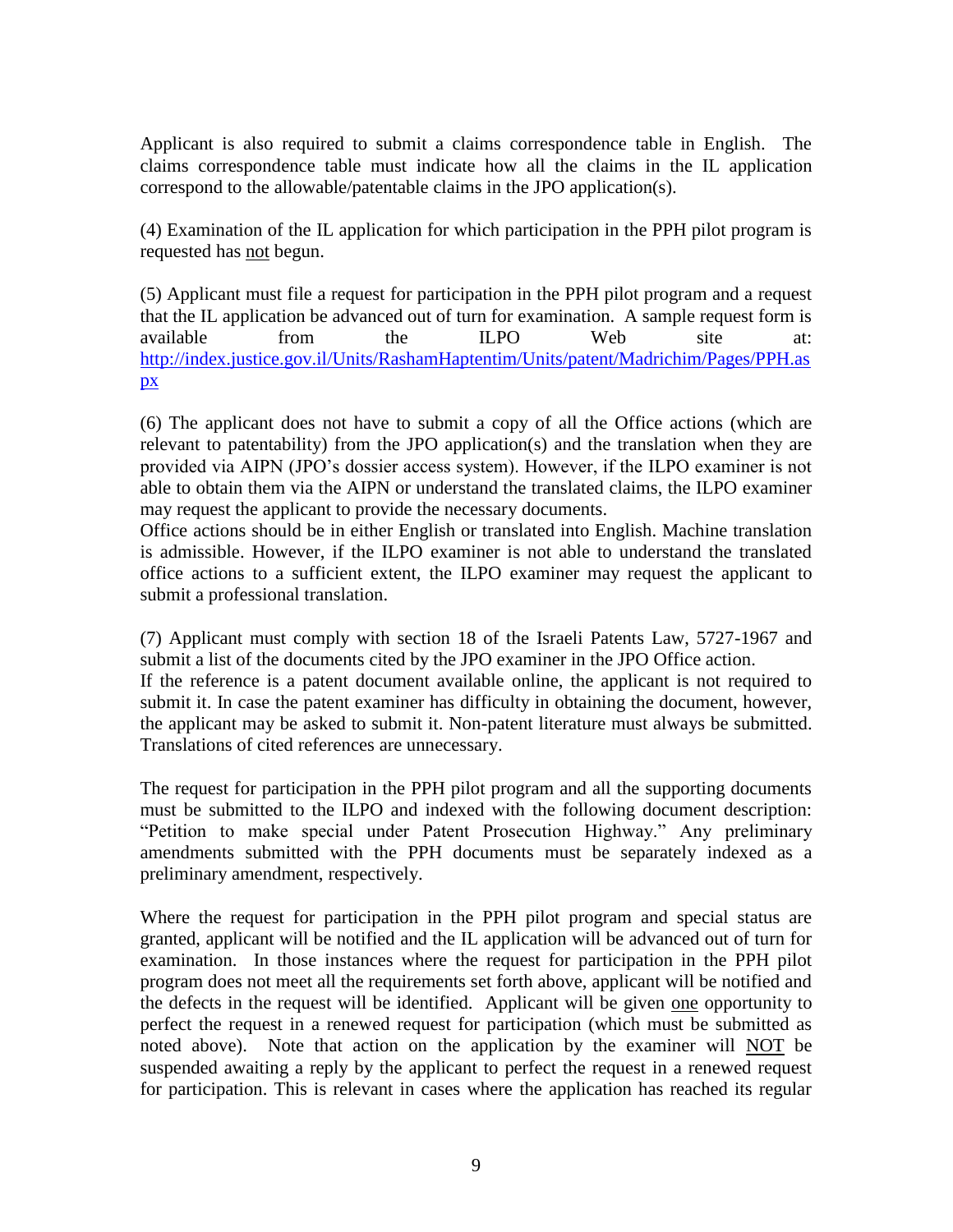Applicant is also required to submit a claims correspondence table in English. The claims correspondence table must indicate how all the claims in the IL application correspond to the allowable/patentable claims in the JPO application(s).

(4) Examination of the IL application for which participation in the PPH pilot program is requested has not begun.

(5) Applicant must file a request for participation in the PPH pilot program and a request that the IL application be advanced out of turn for examination. A sample request form is available from the ILPO Web site at: [http://index.justice.gov.il/Units/RashamHaptentim/Units/patent/Madrichim/Pages/PPH.as](http://index.justice.gov.il/Units/RashamHaptentim/Units/patent/Madrichim/Pages/PPH.aspx) [px](http://index.justice.gov.il/Units/RashamHaptentim/Units/patent/Madrichim/Pages/PPH.aspx)

(6) The applicant does not have to submit a copy of all the Office actions (which are relevant to patentability) from the JPO application(s) and the translation when they are provided via AIPN (JPO's dossier access system). However, if the ILPO examiner is not able to obtain them via the AIPN or understand the translated claims, the ILPO examiner may request the applicant to provide the necessary documents.

Office actions should be in either English or translated into English. Machine translation is admissible. However, if the ILPO examiner is not able to understand the translated office actions to a sufficient extent, the ILPO examiner may request the applicant to submit a professional translation.

(7) Applicant must comply with section 18 of the Israeli Patents Law, 5727-1967 and submit a list of the documents cited by the JPO examiner in the JPO Office action.

If the reference is a patent document available online, the applicant is not required to submit it. In case the patent examiner has difficulty in obtaining the document, however, the applicant may be asked to submit it. Non-patent literature must always be submitted. Translations of cited references are unnecessary.

The request for participation in the PPH pilot program and all the supporting documents must be submitted to the ILPO and indexed with the following document description: "Petition to make special under Patent Prosecution Highway." Any preliminary amendments submitted with the PPH documents must be separately indexed as a preliminary amendment, respectively.

Where the request for participation in the PPH pilot program and special status are granted, applicant will be notified and the IL application will be advanced out of turn for examination. In those instances where the request for participation in the PPH pilot program does not meet all the requirements set forth above, applicant will be notified and the defects in the request will be identified. Applicant will be given one opportunity to perfect the request in a renewed request for participation (which must be submitted as noted above). Note that action on the application by the examiner will NOT be suspended awaiting a reply by the applicant to perfect the request in a renewed request for participation. This is relevant in cases where the application has reached its regular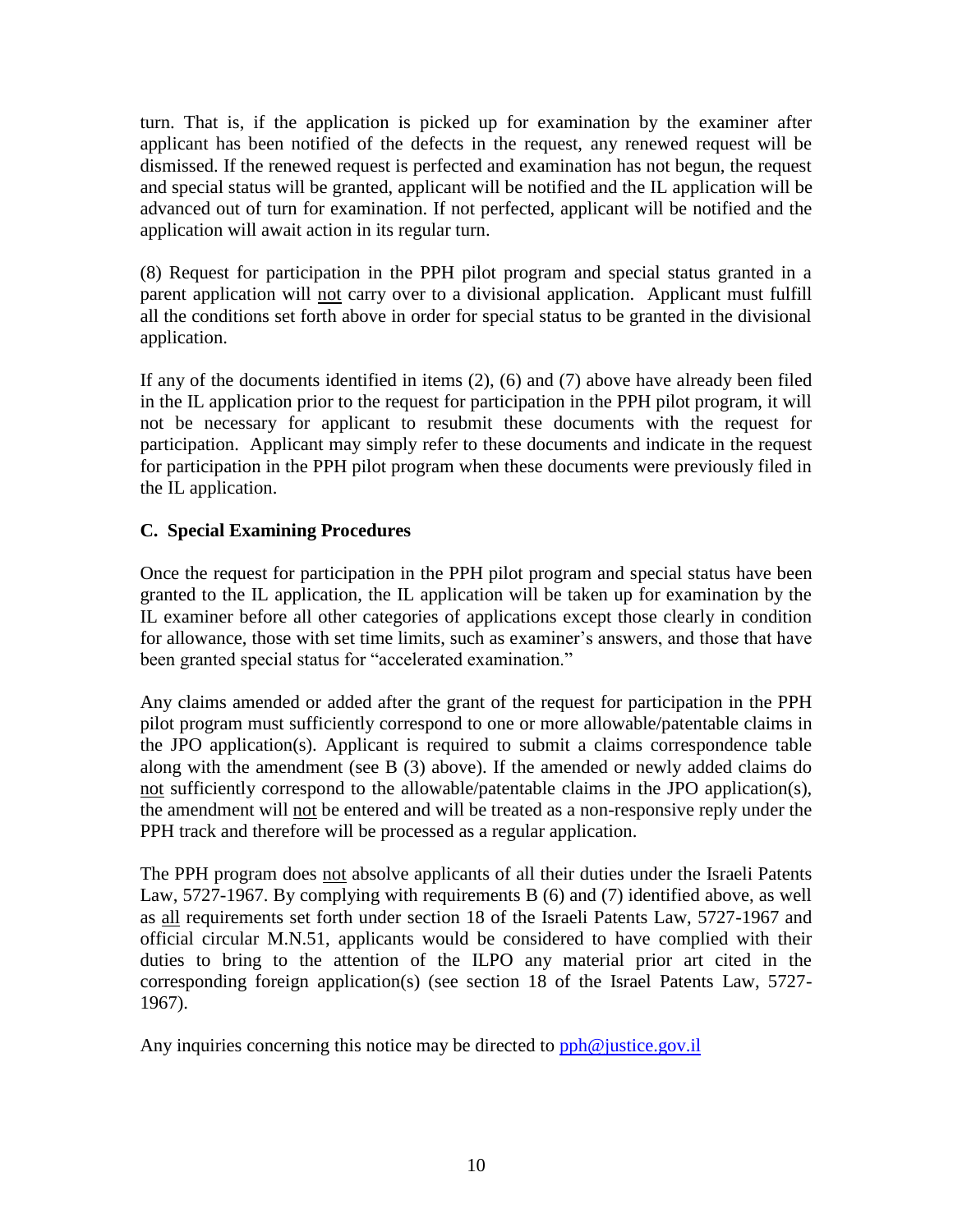turn. That is, if the application is picked up for examination by the examiner after applicant has been notified of the defects in the request, any renewed request will be dismissed. If the renewed request is perfected and examination has not begun, the request and special status will be granted, applicant will be notified and the IL application will be advanced out of turn for examination. If not perfected, applicant will be notified and the application will await action in its regular turn.

(8) Request for participation in the PPH pilot program and special status granted in a parent application will not carry over to a divisional application. Applicant must fulfill all the conditions set forth above in order for special status to be granted in the divisional application.

If any of the documents identified in items (2), (6) and (7) above have already been filed in the IL application prior to the request for participation in the PPH pilot program, it will not be necessary for applicant to resubmit these documents with the request for participation. Applicant may simply refer to these documents and indicate in the request for participation in the PPH pilot program when these documents were previously filed in the IL application.

# **C. Special Examining Procedures**

Once the request for participation in the PPH pilot program and special status have been granted to the IL application, the IL application will be taken up for examination by the IL examiner before all other categories of applications except those clearly in condition for allowance, those with set time limits, such as examiner's answers, and those that have been granted special status for "accelerated examination."

Any claims amended or added after the grant of the request for participation in the PPH pilot program must sufficiently correspond to one or more allowable/patentable claims in the JPO application(s). Applicant is required to submit a claims correspondence table along with the amendment (see B (3) above). If the amended or newly added claims do not sufficiently correspond to the allowable/patentable claims in the JPO application(s), the amendment will not be entered and will be treated as a non-responsive reply under the PPH track and therefore will be processed as a regular application.

The PPH program does not absolve applicants of all their duties under the Israeli Patents Law, 5727-1967. By complying with requirements B (6) and (7) identified above, as well as all requirements set forth under section 18 of the Israeli Patents Law, 5727-1967 and official circular M.N.51, applicants would be considered to have complied with their duties to bring to the attention of the ILPO any material prior art cited in the corresponding foreign application(s) (see section 18 of the Israel Patents Law, 5727- 1967).

Any inquiries concerning this notice may be directed to  $pph@$  justice.gov.il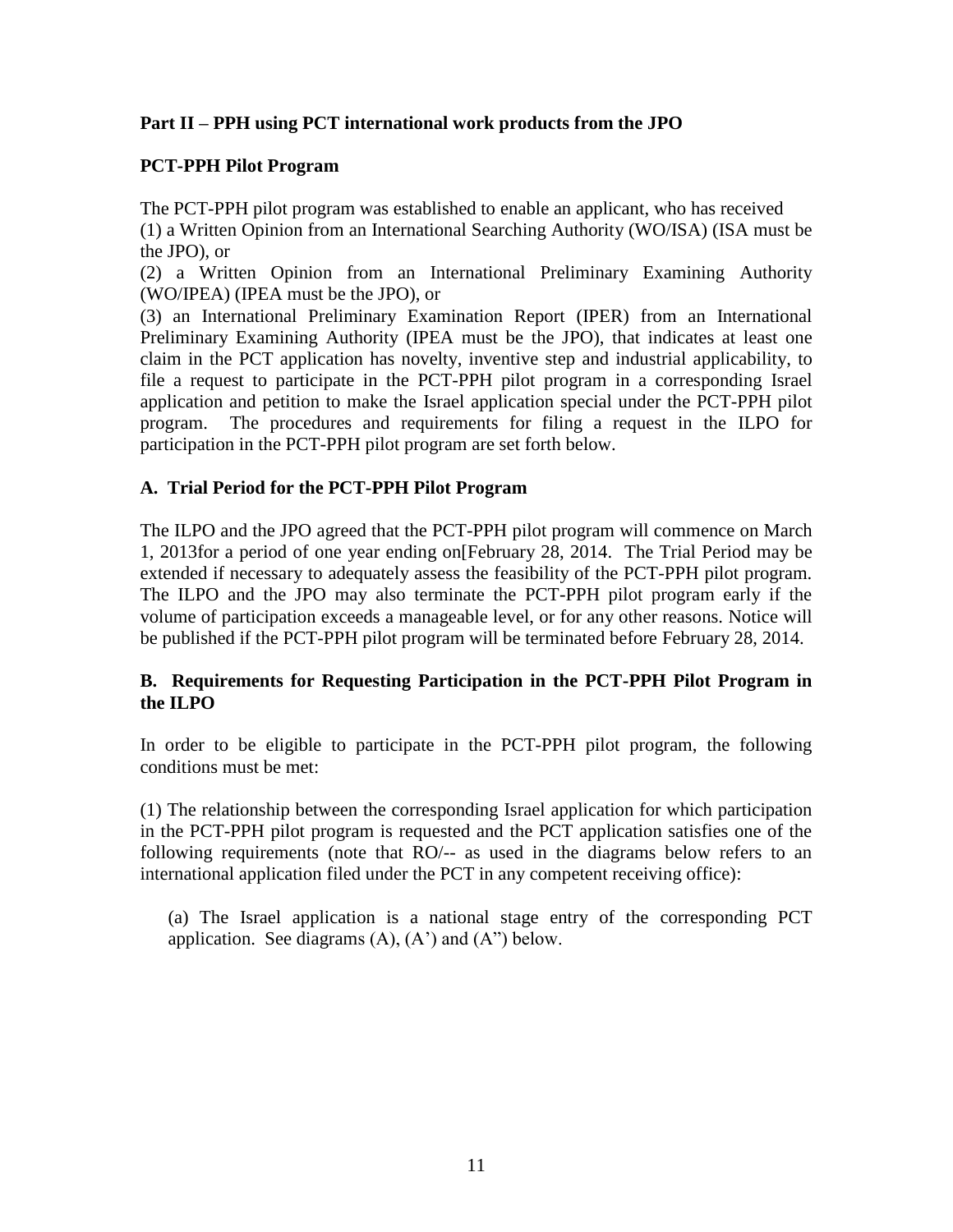## **Part II – PPH using PCT international work products from the JPO**

## **PCT-PPH Pilot Program**

The PCT-PPH pilot program was established to enable an applicant, who has received (1) a Written Opinion from an International Searching Authority (WO/ISA) (ISA must be the JPO), or

(2) a Written Opinion from an International Preliminary Examining Authority (WO/IPEA) (IPEA must be the JPO), or

(3) an International Preliminary Examination Report (IPER) from an International Preliminary Examining Authority (IPEA must be the JPO), that indicates at least one claim in the PCT application has novelty, inventive step and industrial applicability, to file a request to participate in the PCT-PPH pilot program in a corresponding Israel application and petition to make the Israel application special under the PCT-PPH pilot program. The procedures and requirements for filing a request in the ILPO for participation in the PCT-PPH pilot program are set forth below.

#### **A. Trial Period for the PCT-PPH Pilot Program**

The ILPO and the JPO agreed that the PCT-PPH pilot program will commence on March 1, 2013for a period of one year ending on[February 28, 2014. The Trial Period may be extended if necessary to adequately assess the feasibility of the PCT-PPH pilot program. The ILPO and the JPO may also terminate the PCT-PPH pilot program early if the volume of participation exceeds a manageable level, or for any other reasons. Notice will be published if the PCT-PPH pilot program will be terminated before February 28, 2014.

#### **B. Requirements for Requesting Participation in the PCT-PPH Pilot Program in the ILPO**

In order to be eligible to participate in the PCT-PPH pilot program, the following conditions must be met:

(1) The relationship between the corresponding Israel application for which participation in the PCT-PPH pilot program is requested and the PCT application satisfies one of the following requirements (note that RO/-- as used in the diagrams below refers to an international application filed under the PCT in any competent receiving office):

(a) The Israel application is a national stage entry of the corresponding PCT application. See diagrams  $(A)$ ,  $(A')$  and  $(A'')$  below.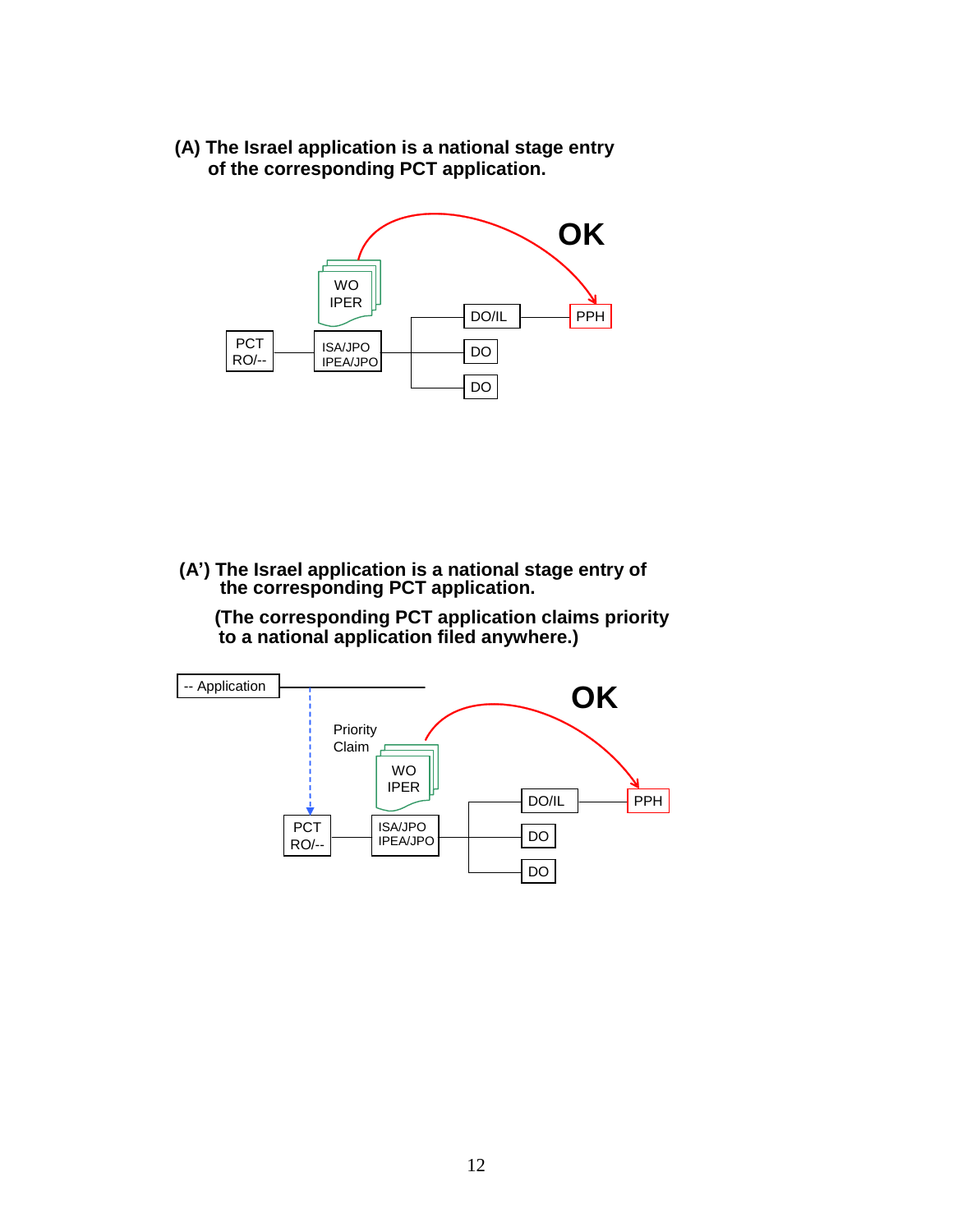**(A) The Israel application is a national stage entry of the corresponding PCT application.**



**(A') The Israel application is a national stage entry of the corresponding PCT application.**

**(The corresponding PCT application claims priority to a national application filed anywhere.)**

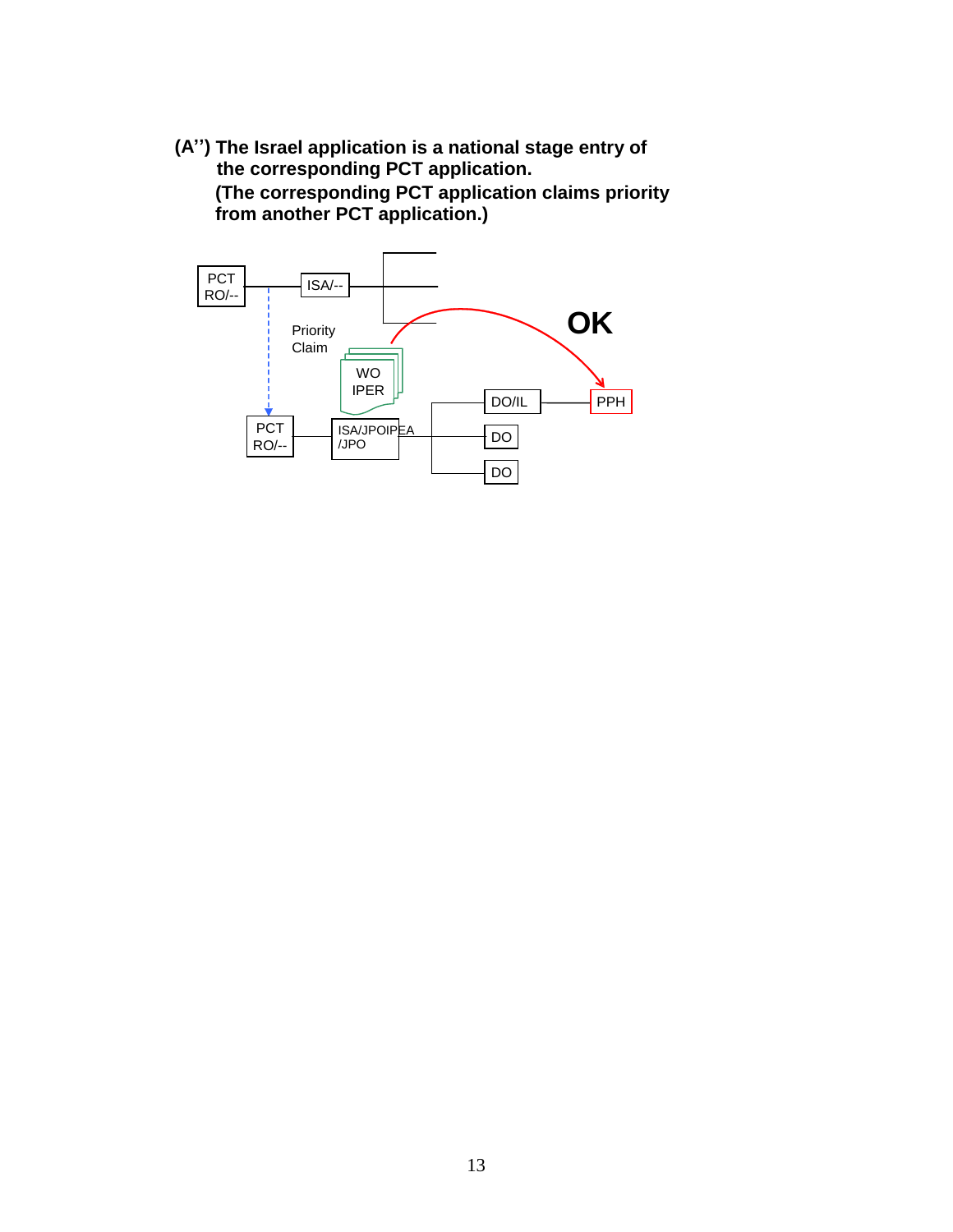**(A'') The Israel application is a national stage entry of the corresponding PCT application. (The corresponding PCT application claims priority from another PCT application.)**

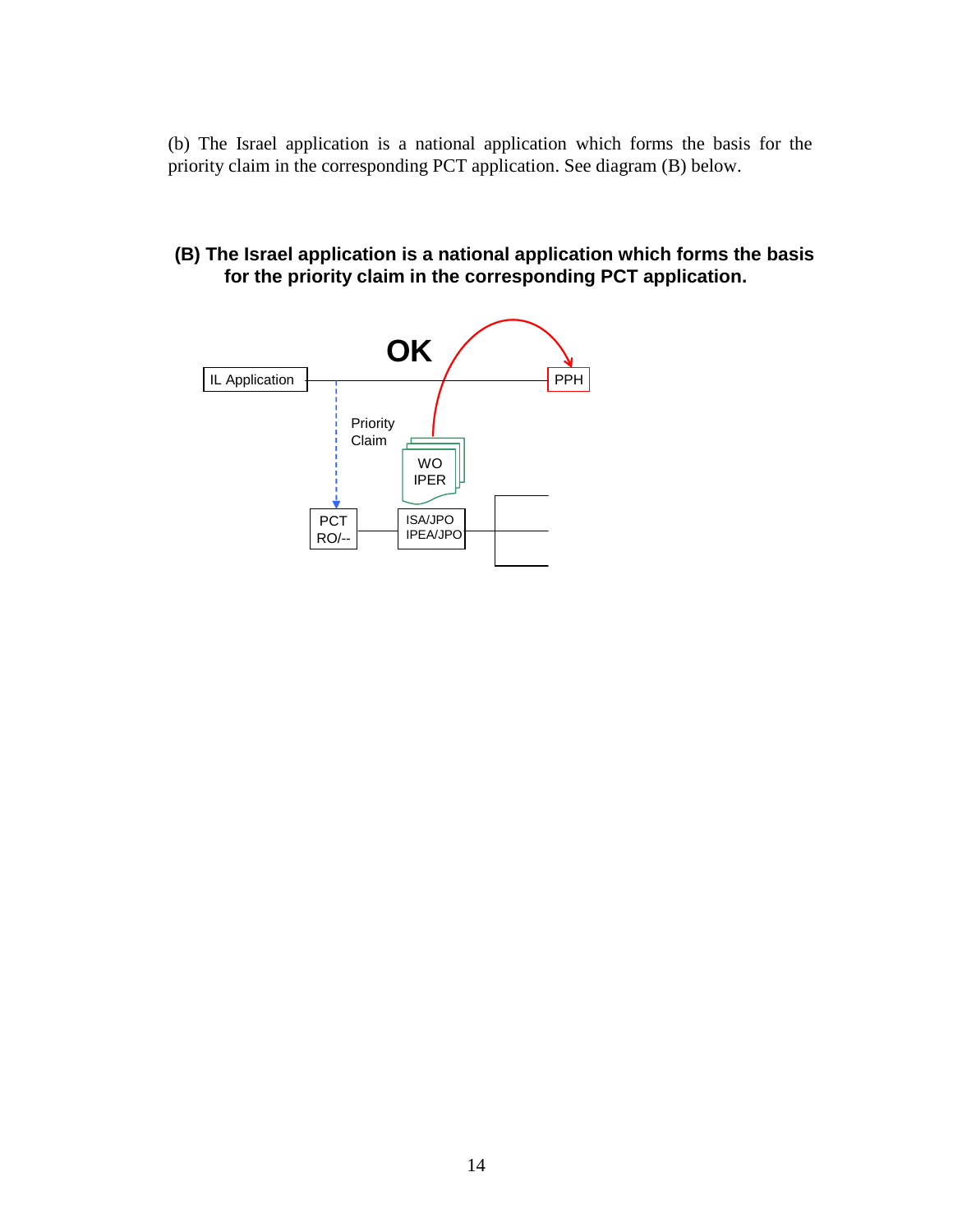(b) The Israel application is a national application which forms the basis for the priority claim in the corresponding PCT application. See diagram (B) below.

**(B) The Israel application is a national application which forms the basis for the priority claim in the corresponding PCT application.**

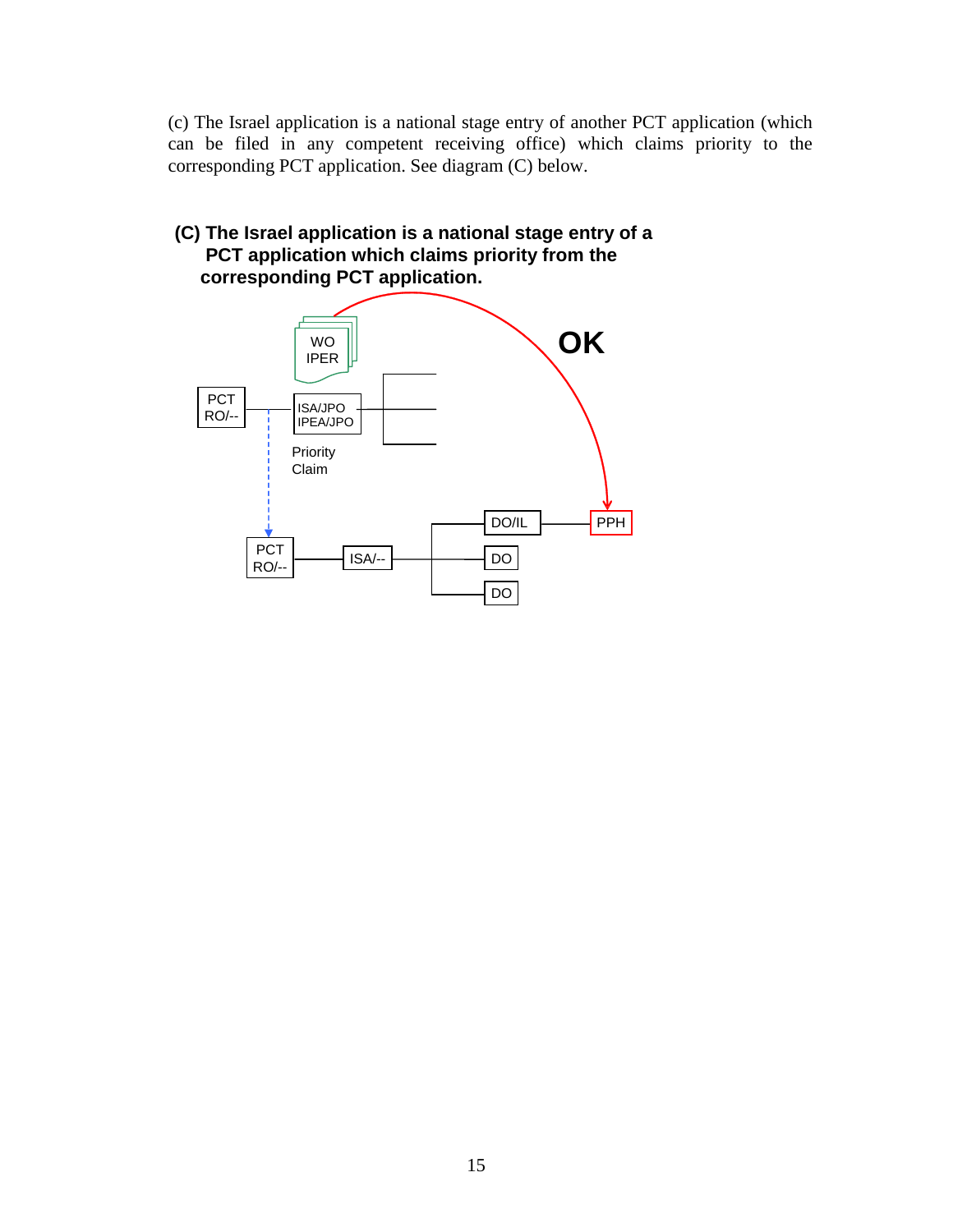(c) The Israel application is a national stage entry of another PCT application (which can be filed in any competent receiving office) which claims priority to the corresponding PCT application. See diagram (C) below.

# WO **OK (C) The Israel application is a national stage entry of a PCT application which claims priority from the corresponding PCT application.**

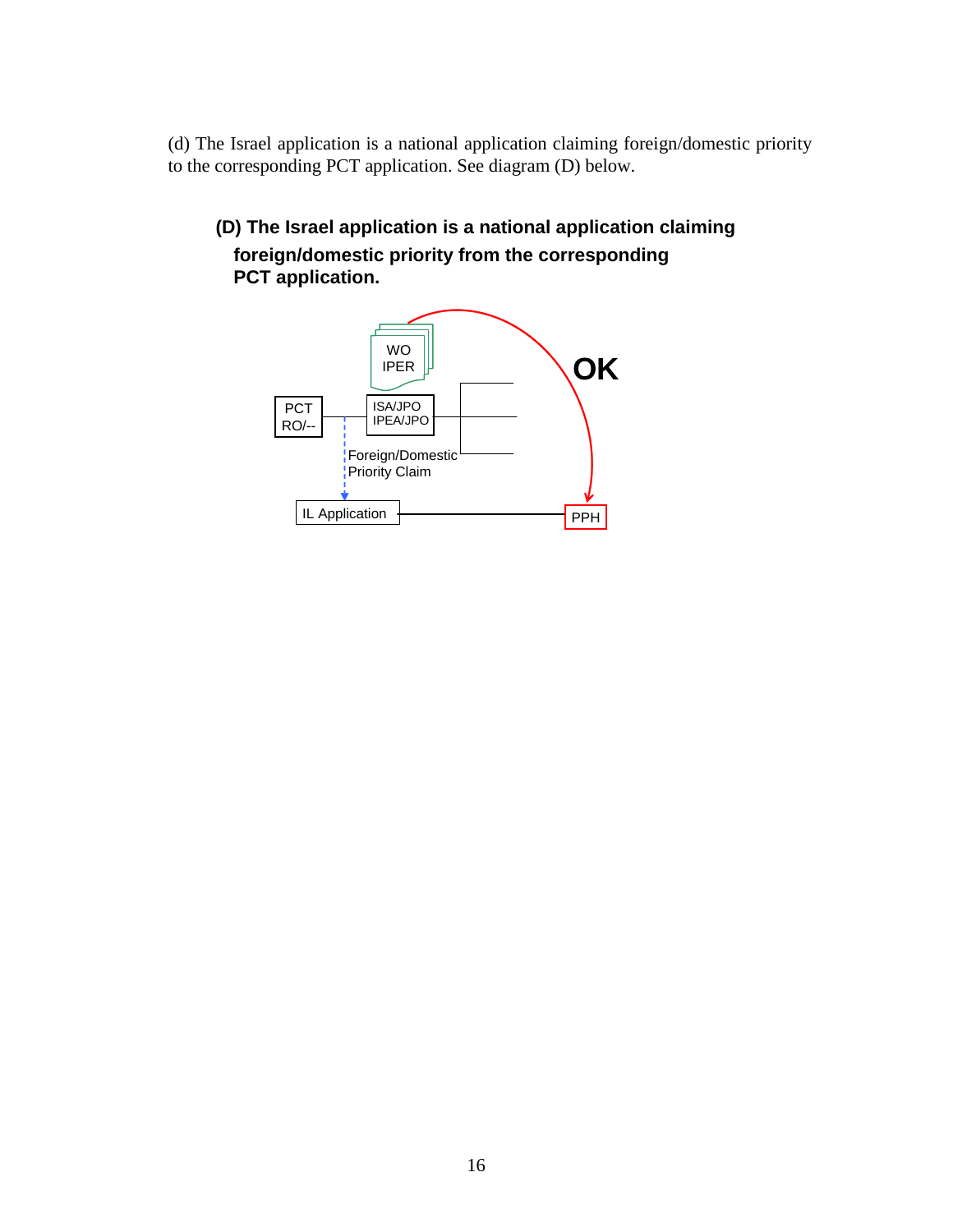(d) The Israel application is a national application claiming foreign/domestic priority to the corresponding PCT application. See diagram (D) below.

**(D) The Israel application is a national application claiming foreign/domestic priority from the corresponding PCT application.** 

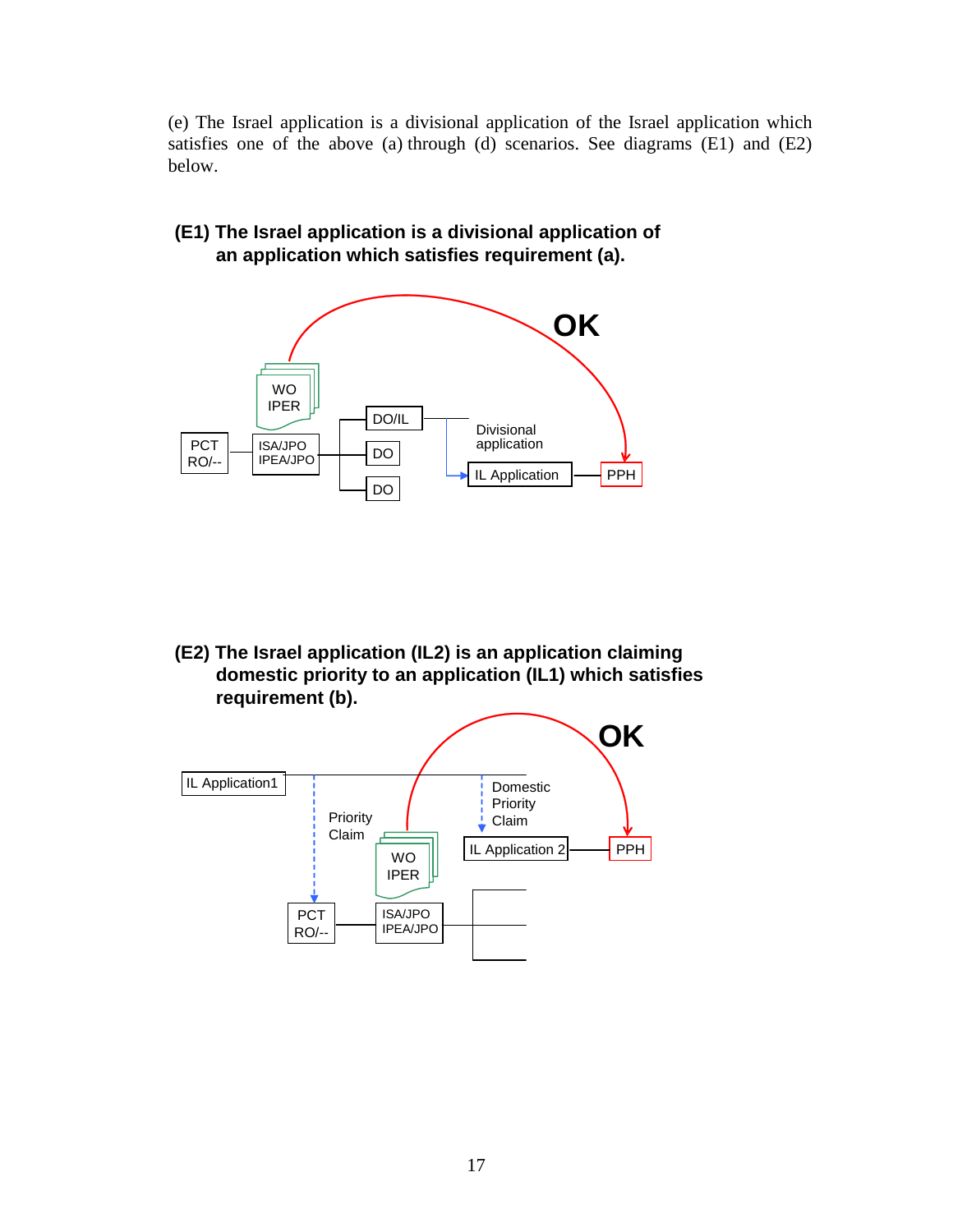(e) The Israel application is a divisional application of the Israel application which satisfies one of the above (a) through (d) scenarios. See diagrams (E1) and (E2) below.

**(E1) The Israel application is a divisional application of an application which satisfies requirement (a).** 



**(E2) The Israel application (IL2) is an application claiming domestic priority to an application (IL1) which satisfies requirement (b).** 

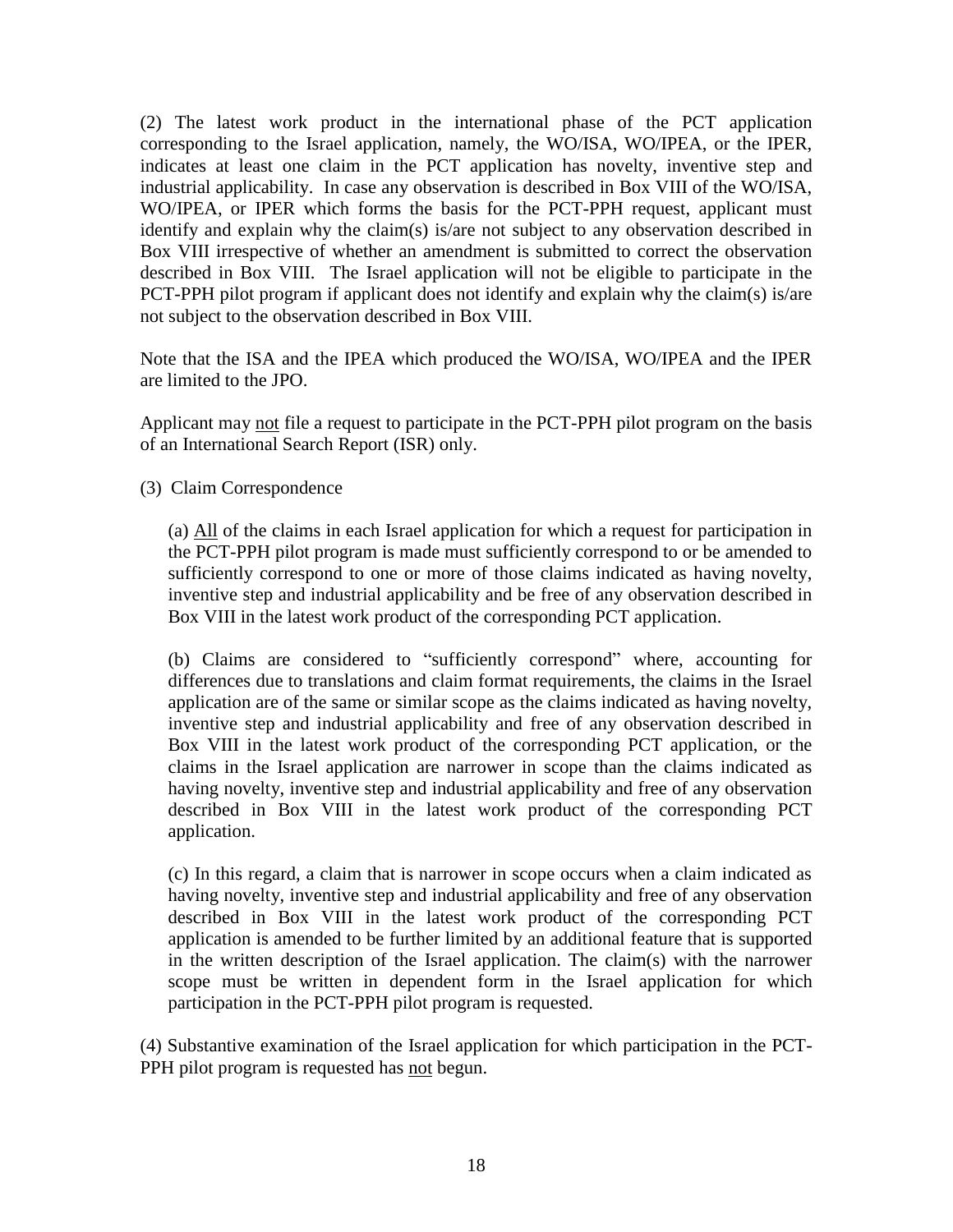(2) The latest work product in the international phase of the PCT application corresponding to the Israel application, namely, the WO/ISA, WO/IPEA, or the IPER, indicates at least one claim in the PCT application has novelty, inventive step and industrial applicability. In case any observation is described in Box VIII of the WO/ISA, WO/IPEA, or IPER which forms the basis for the PCT-PPH request, applicant must identify and explain why the claim(s) is/are not subject to any observation described in Box VIII irrespective of whether an amendment is submitted to correct the observation described in Box VIII. The Israel application will not be eligible to participate in the PCT-PPH pilot program if applicant does not identify and explain why the claim(s) is/are not subject to the observation described in Box VIII.

Note that the ISA and the IPEA which produced the WO/ISA, WO/IPEA and the IPER are limited to the JPO.

Applicant may not file a request to participate in the PCT-PPH pilot program on the basis of an International Search Report (ISR) only.

(3) Claim Correspondence

(a) All of the claims in each Israel application for which a request for participation in the PCT-PPH pilot program is made must sufficiently correspond to or be amended to sufficiently correspond to one or more of those claims indicated as having novelty, inventive step and industrial applicability and be free of any observation described in Box VIII in the latest work product of the corresponding PCT application.

(b) Claims are considered to "sufficiently correspond" where, accounting for differences due to translations and claim format requirements, the claims in the Israel application are of the same or similar scope as the claims indicated as having novelty, inventive step and industrial applicability and free of any observation described in Box VIII in the latest work product of the corresponding PCT application, or the claims in the Israel application are narrower in scope than the claims indicated as having novelty, inventive step and industrial applicability and free of any observation described in Box VIII in the latest work product of the corresponding PCT application.

(c) In this regard, a claim that is narrower in scope occurs when a claim indicated as having novelty, inventive step and industrial applicability and free of any observation described in Box VIII in the latest work product of the corresponding PCT application is amended to be further limited by an additional feature that is supported in the written description of the Israel application. The claim(s) with the narrower scope must be written in dependent form in the Israel application for which participation in the PCT-PPH pilot program is requested.

(4) Substantive examination of the Israel application for which participation in the PCT-PPH pilot program is requested has not begun.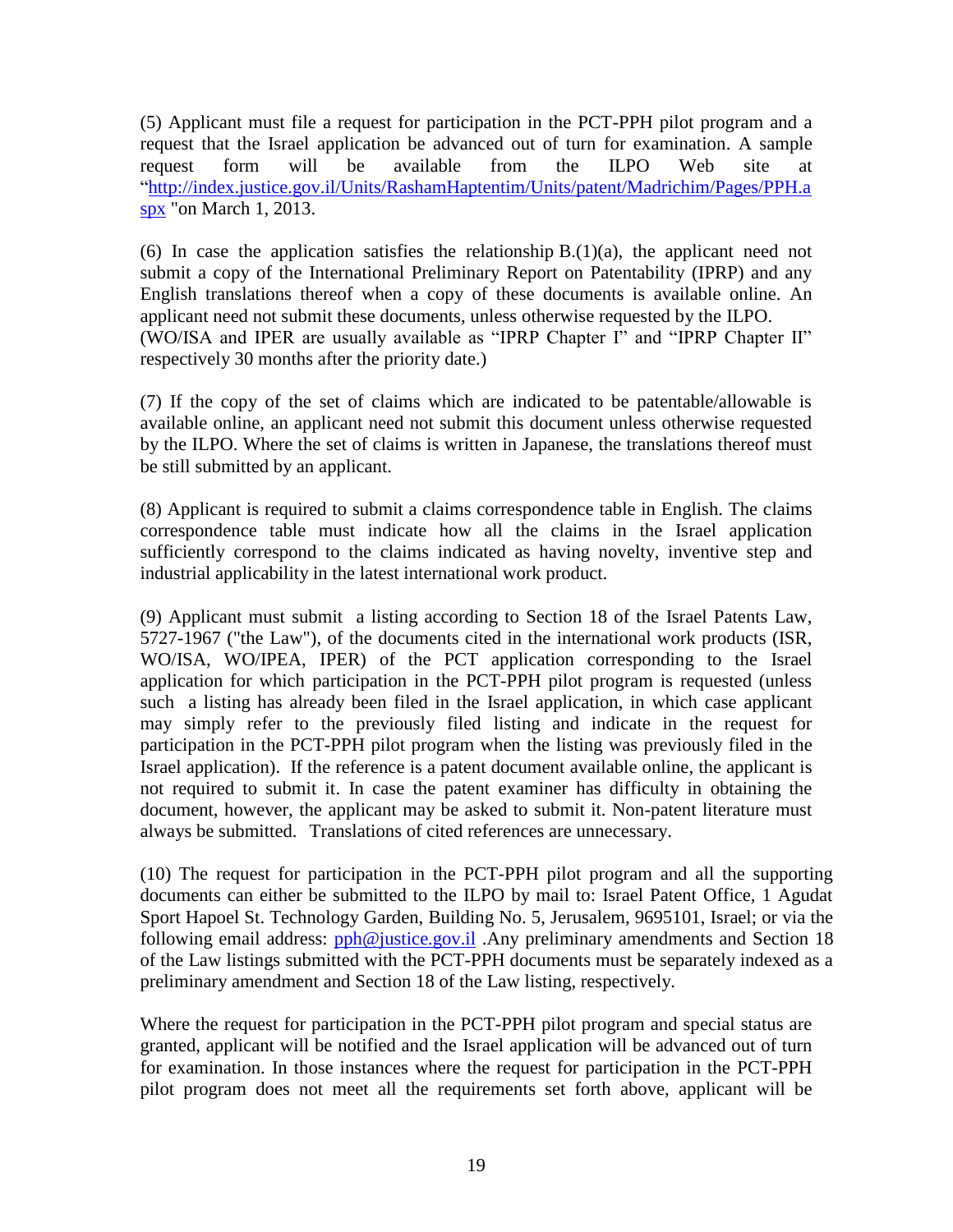(5) Applicant must file a request for participation in the PCT-PPH pilot program and a request that the Israel application be advanced out of turn for examination. A sample request form will be available from the ILPO Web site at "http://index.justice.gov.il/Units/RashamHaptentim/Units/patent/Madrichim/Pages/PPH.a spx "on March 1, 2013.

(6) In case the application satisfies the relationship  $B(1)(a)$ , the applicant need not submit a copy of the International Preliminary Report on Patentability (IPRP) and any English translations thereof when a copy of these documents is available online. An applicant need not submit these documents, unless otherwise requested by the ILPO. (WO/ISA and IPER are usually available as "IPRP Chapter I" and "IPRP Chapter II" respectively 30 months after the priority date.)

(7) If the copy of the set of claims which are indicated to be patentable/allowable is available online, an applicant need not submit this document unless otherwise requested by the ILPO. Where the set of claims is written in Japanese, the translations thereof must be still submitted by an applicant.

(8) Applicant is required to submit a claims correspondence table in English. The claims correspondence table must indicate how all the claims in the Israel application sufficiently correspond to the claims indicated as having novelty, inventive step and industrial applicability in the latest international work product.

(9) Applicant must submit a listing according to Section 18 of the Israel Patents Law, 5727-1967 ("the Law"), of the documents cited in the international work products (ISR, WO/ISA, WO/IPEA, IPER) of the PCT application corresponding to the Israel application for which participation in the PCT-PPH pilot program is requested (unless such a listing has already been filed in the Israel application, in which case applicant may simply refer to the previously filed listing and indicate in the request for participation in the PCT-PPH pilot program when the listing was previously filed in the Israel application). If the reference is a patent document available online, the applicant is not required to submit it. In case the patent examiner has difficulty in obtaining the document, however, the applicant may be asked to submit it. Non-patent literature must always be submitted. Translations of cited references are unnecessary.

(10) The request for participation in the PCT-PPH pilot program and all the supporting documents can either be submitted to the ILPO by mail to: Israel Patent Office, 1 Agudat Sport Hapoel St. Technology Garden, Building No. 5, Jerusalem, 9695101, Israel; or via the following email address:  $pph@$  justice.gov.il .Any preliminary amendments and Section 18 of the Law listings submitted with the PCT-PPH documents must be separately indexed as a preliminary amendment and Section 18 of the Law listing, respectively.

Where the request for participation in the PCT-PPH pilot program and special status are granted, applicant will be notified and the Israel application will be advanced out of turn for examination. In those instances where the request for participation in the PCT-PPH pilot program does not meet all the requirements set forth above, applicant will be